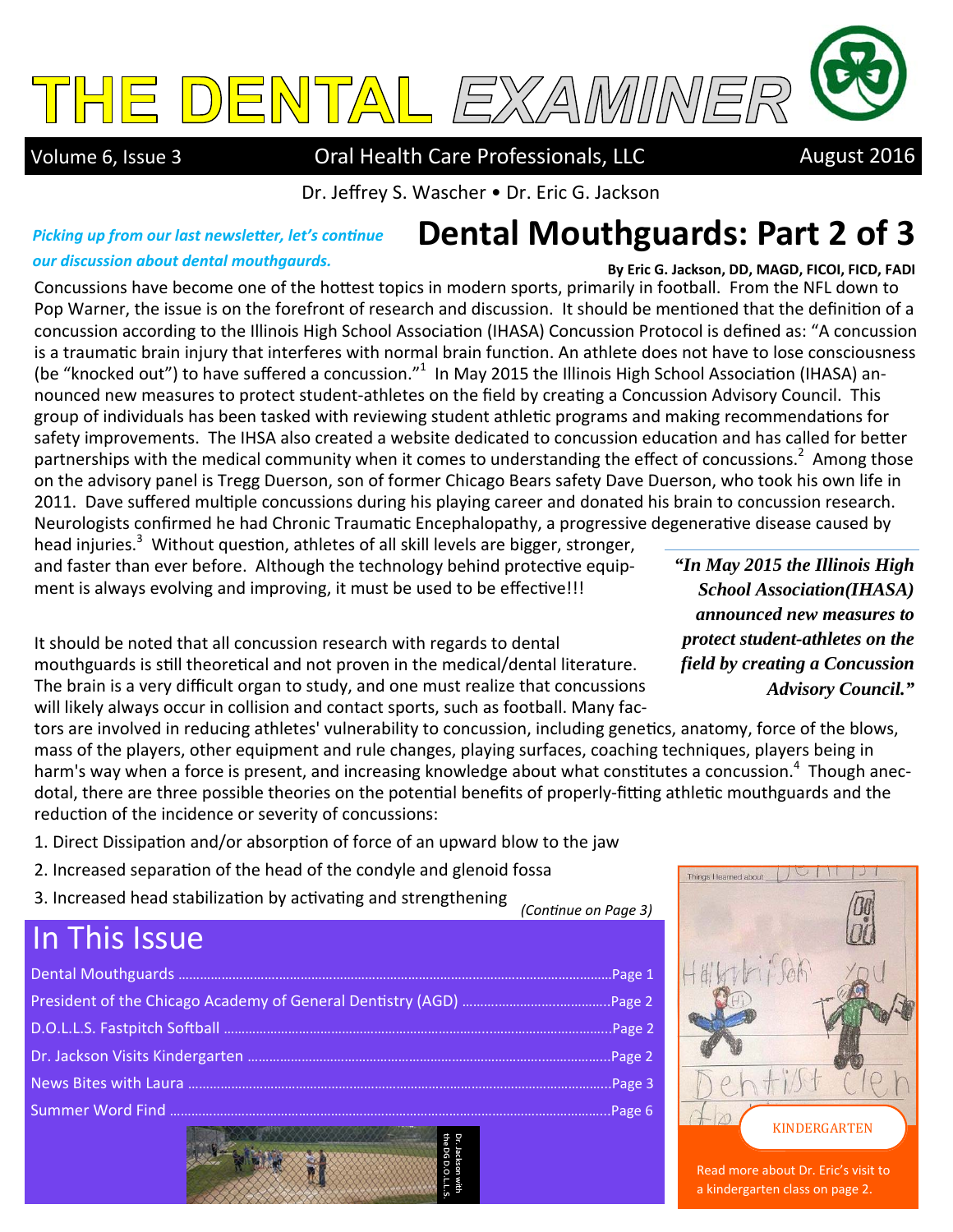

Volume 6, Issue 3 **Oral Health Care Professionals, LLC** August 2016

Dr. Jeffrey S. Wascher • Dr. Eric G. Jackson

## **Dental Mouthguards: Part 2 of 3**

#### *Picking up from our last newsletter, let's continue our discussion about dental mouthgaurds.*

**By Eric G. Jackson, DD, MAGD, FICOI, FICD, FADI**  Concussions have become one of the hottest topics in modern sports, primarily in football. From the NFL down to Pop Warner, the issue is on the forefront of research and discussion. It should be mentioned that the definition of a concussion according to the Illinois High School Association (IHASA) Concussion Protocol is defined as: "A concussion is a traumatic brain injury that interferes with normal brain function. An athlete does not have to lose consciousness (be "knocked out") to have suffered a concussion."<sup>1</sup> In May 2015 the Illinois High School Association (IHASA) announced new measures to protect student-athletes on the field by creating a Concussion Advisory Council. This group of individuals has been tasked with reviewing student athletic programs and making recommendations for safety improvements. The IHSA also created a website dedicated to concussion education and has called for better partnerships with the medical community when it comes to understanding the effect of concussions.<sup>2</sup> Among those on the advisory panel is Tregg Duerson, son of former Chicago Bears safety Dave Duerson, who took his own life in 2011. Dave suffered multiple concussions during his playing career and donated his brain to concussion research. Neurologists confirmed he had Chronic Traumatic Encephalopathy, a progressive degenerative disease caused by

head injuries.<sup>3</sup> Without question, athletes of all skill levels are bigger, stronger, and faster than ever before. Although the technology behind protective equipment is always evolving and improving, it must be used to be effective!!!

It should be noted that all concussion research with regards to dental mouthguards is still theoretical and not proven in the medical/dental literature. The brain is a very difficult organ to study, and one must realize that concussions will likely always occur in collision and contact sports, such as football. Many fac-

*announced new measures to protect student-athletes on the field by creating a Concussion Advisory Council."* 

*"In May 2015 the Illinois High School Association(IHASA)* 

tors are involved in reducing athletes' vulnerability to concussion, including genetics, anatomy, force of the blows, mass of the players, other equipment and rule changes, playing surfaces, coaching techniques, players being in harm's way when a force is present, and increasing knowledge about what constitutes a concussion.<sup>4</sup> Though anecdotal, there are three possible theories on the potential benefits of properly-fitting athletic mouthguards and the reduction of the incidence or severity of concussions:

- 1. Direct Dissipation and/or absorption of force of an upward blow to the jaw
- 2. Increased separation of the head of the condyle and glenoid fossa
- 3. Increased head stabilization by activating and strengthening *(ConƟnue on Page 3)*

## In This Issue

| Page 6 |
|--------|
|        |



Read more about Dr. Eric's visit to a kindergarten class on page 2.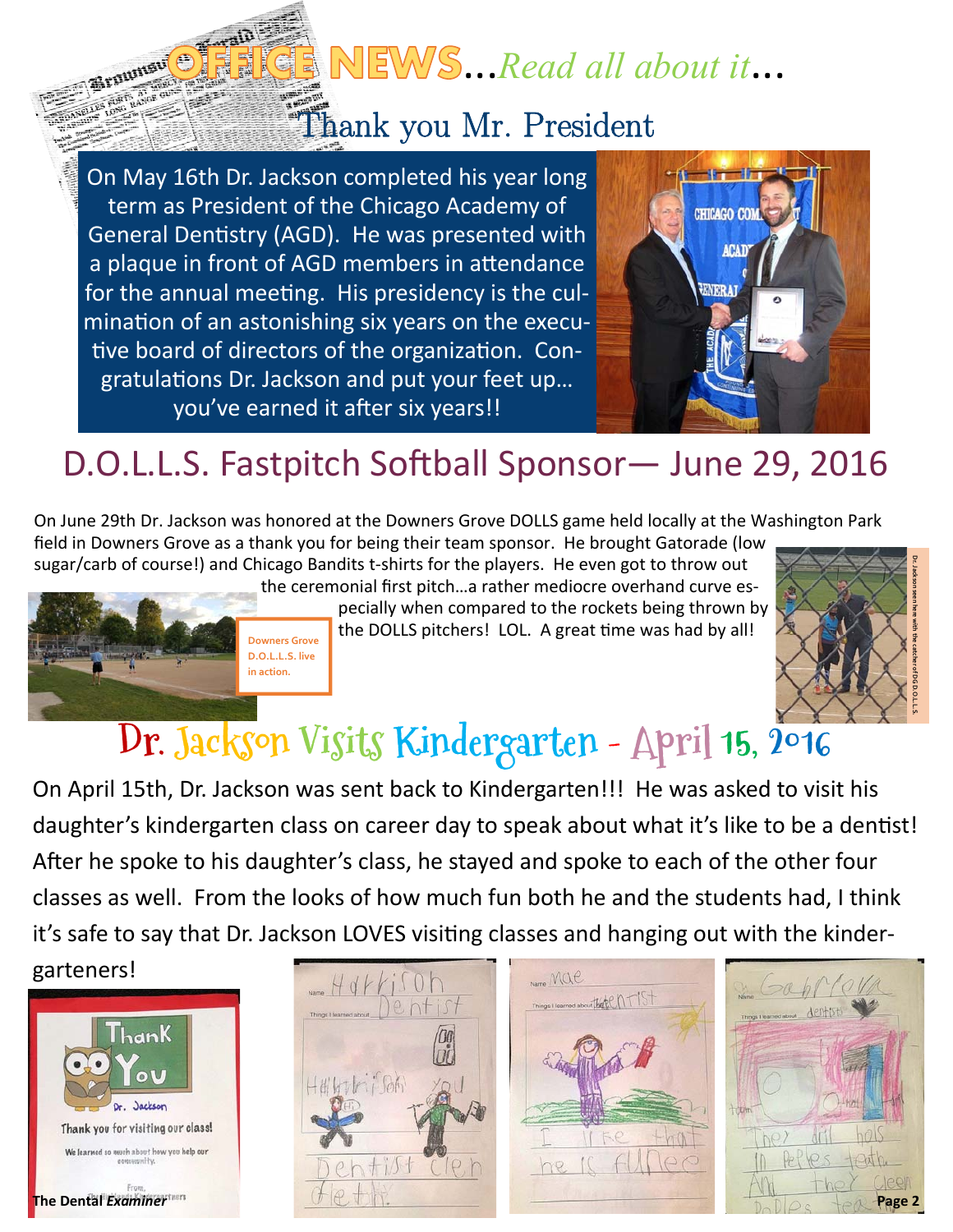## NEWS...Read all about it...

## Thank you Mr. President

On May 16th Dr. Jackson completed his year long term as President of the Chicago Academy of General Dentistry (AGD). He was presented with a plaque in front of AGD members in attendance for the annual meeting. His presidency is the culmination of an astonishing six years on the executive board of directors of the organization. Congratulations Dr. Jackson and put your feet up... you've earned it after six years!!

> **Downers Grove D.O.L.L.S. live in action.**



## D.O.L.L.S. Fastpitch Softball Sponsor- June 29, 2016

On June 29th Dr. Jackson was honored at the Downers Grove DOLLS game held locally at the Washington Park

field in Downers Grove as a thank you for being their team sponsor. He brought Gatorade (low sugar/carb of course!) and Chicago Bandits t-shirts for the players. He even got to throw out

the ceremonial first pitch…a rather mediocre overhand curve especially when compared to the rockets being thrown by

the DOLLS pitchers! LOL. A great time was had by all!



# **Dr. Jackson Visits Kindergarten - April 15, 2016**

On April 15th, Dr. Jackson was sent back to Kindergarten!!! He was asked to visit his daughter's kindergarten class on career day to speak about what it's like to be a dentist! After he spoke to his daughter's class, he stayed and spoke to each of the other four classes as well. From the looks of how much fun both he and the students had, I think it's safe to say that Dr. Jackson LOVES visiting classes and hanging out with the kinder-



Braunsu<sup>O</sup>





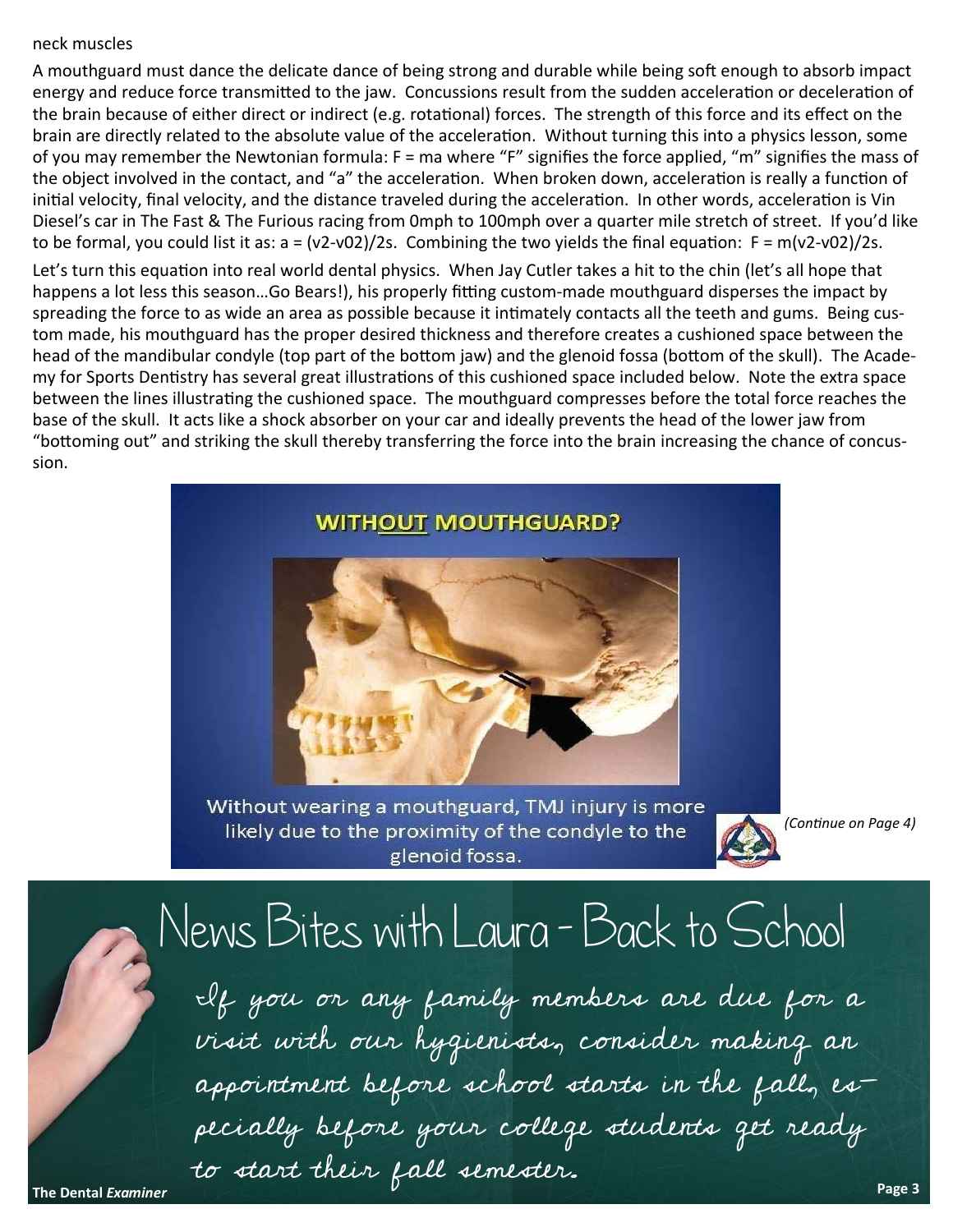#### neck muscles

A mouthguard must dance the delicate dance of being strong and durable while being soft enough to absorb impact energy and reduce force transmitted to the jaw. Concussions result from the sudden acceleration or deceleration of the brain because of either direct or indirect (e.g. rotational) forces. The strength of this force and its effect on the brain are directly related to the absolute value of the acceleration. Without turning this into a physics lesson, some of you may remember the Newtonian formula: F = ma where "F" signifies the force applied, "m" signifies the mass of the object involved in the contact, and "a" the acceleration. When broken down, acceleration is really a function of initial velocity, final velocity, and the distance traveled during the acceleration. In other words, acceleration is Vin Diesel's car in The Fast & The Furious racing from 0mph to 100mph over a quarter mile stretch of street. If you'd like to be formal, you could list it as:  $a = (v2-v02)/2s$ . Combining the two yields the final equation:  $F = m(v2-v02)/2s$ .

Let's turn this equation into real world dental physics. When Jay Cutler takes a hit to the chin (let's all hope that happens a lot less this season...Go Bears!), his properly fitting custom-made mouthguard disperses the impact by spreading the force to as wide an area as possible because it intimately contacts all the teeth and gums. Being custom made, his mouthguard has the proper desired thickness and therefore creates a cushioned space between the head of the mandibular condyle (top part of the bottom jaw) and the glenoid fossa (bottom of the skull). The Academy for Sports Dentistry has several great illustrations of this cushioned space included below. Note the extra space between the lines illustrating the cushioned space. The mouthguard compresses before the total force reaches the base of the skull. It acts like a shock absorber on your car and ideally prevents the head of the lower jaw from "bottoming out" and striking the skull thereby transferring the force into the brain increasing the chance of concussion.



Without wearing a mouthguard, TMJ injury is more likely due to the proximity of the condyle to the glenoid fossa.



*(ConƟnue on Page 4)* 

# News Bites with Laura - Back to School

If you or any family members are due for a visit with our hygienists, consider making an appointment before school starts in the fall, especially before your college students get ready to start their fall semester. **Page 3**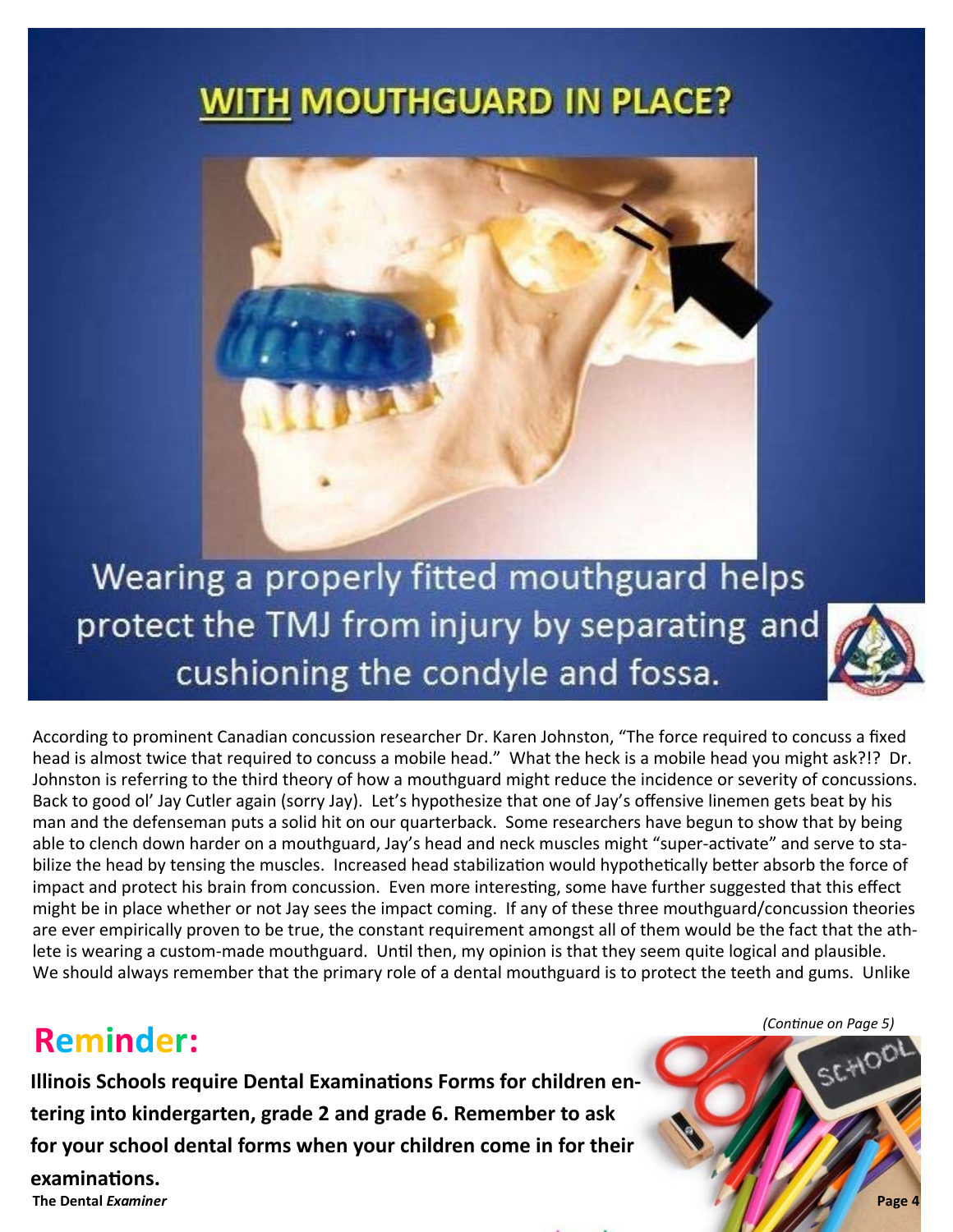## **WITH MOUTHGUARD IN PLACE?**



Wearing a properly fitted mouthguard helps protect the TMJ from injury by separating and cushioning the condyle and fossa.



According to prominent Canadian concussion researcher Dr. Karen Johnston, "The force required to concuss a fixed head is almost twice that required to concuss a mobile head." What the heck is a mobile head you might ask?!? Dr. Johnston is referring to the third theory of how a mouthguard might reduce the incidence or severity of concussions. Back to good ol' Jay Cutler again (sorry Jay). Let's hypothesize that one of Jay's offensive linemen gets beat by his man and the defenseman puts a solid hit on our quarterback. Some researchers have begun to show that by being able to clench down harder on a mouthguard, Jay's head and neck muscles might "super-activate" and serve to stabilize the head by tensing the muscles. Increased head stabilization would hypothetically better absorb the force of impact and protect his brain from concussion. Even more interesting, some have further suggested that this effect might be in place whether or not Jay sees the impact coming. If any of these three mouthguard/concussion theories are ever empirically proven to be true, the constant requirement amongst all of them would be the fact that the athlete is wearing a custom-made mouthguard. Until then, my opinion is that they seem quite logical and plausible. We should always remember that the primary role of a dental mouthguard is to protect the teeth and gums. Unlike

## **Reminder:**

**Illinois Schools require Dental Examinations Forms for children entering into kindergarten, grade 2 and grade 6. Remember to ask for your school dental forms when your children come in for their** 

**The Dental** *Examiner* **examinaƟons.** 

*(ConƟnue on Page 5)* 

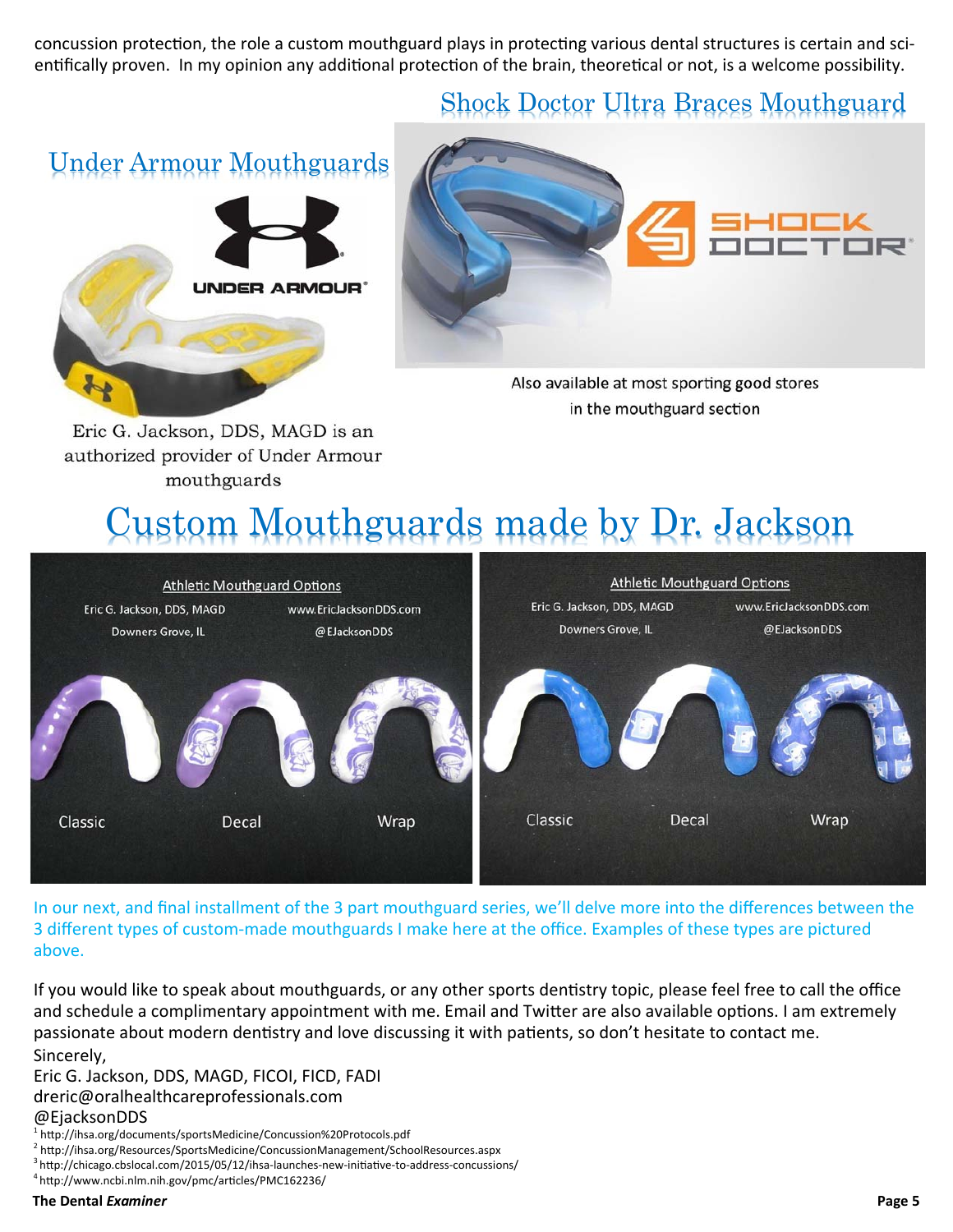concussion protection, the role a custom mouthguard plays in protecting various dental structures is certain and scientifically proven. In my opinion any additional protection of the brain, theoretical or not, is a welcome possibility.

## Shock Doctor Ultra Braces Mouthguard

Under Armour Mouthguards





Also available at most sporting good stores in the mouthguard section

Eric G. Jackson, DDS, MAGD is an authorized provider of Under Armour mouthguards

## Custom Mouthguards made by Dr. Jackson



In our next, and final installment of the 3 part mouthguard series, we'll delve more into the differences between the 3 different types of custom-made mouthguards I make here at the office. Examples of these types are pictured above.

If you would like to speak about mouthguards, or any other sports dentistry topic, please feel free to call the office and schedule a complimentary appointment with me. Email and Twitter are also available options. I am extremely passionate about modern dentistry and love discussing it with patients, so don't hesitate to contact me. Sincerely,

Eric G. Jackson, DDS, MAGD, FICOI, FICD, FADI dreric@oralhealthcareprofessionals.com @EjacksonDDS

<sup>&</sup>lt;sup>1</sup> http://ihsa.org/documents/sportsMedicine/Concussion%20Protocols.pdf<br><sup>2</sup> http://ihsa.org/Pescurses/SportsMedicine/ConcussionManagement/Scho

<sup>&</sup>lt;sup>2</sup> http://ihsa.org/Resources/SportsMedicine/ConcussionManagement/SchoolResources.aspx 3 http://chicago.cbslocal.com/2015/05/12/ihsa-launches-new-initiative-to-address-concussions/ 4 http://www.ncbi.nlm.nih.gov/pmc/articl